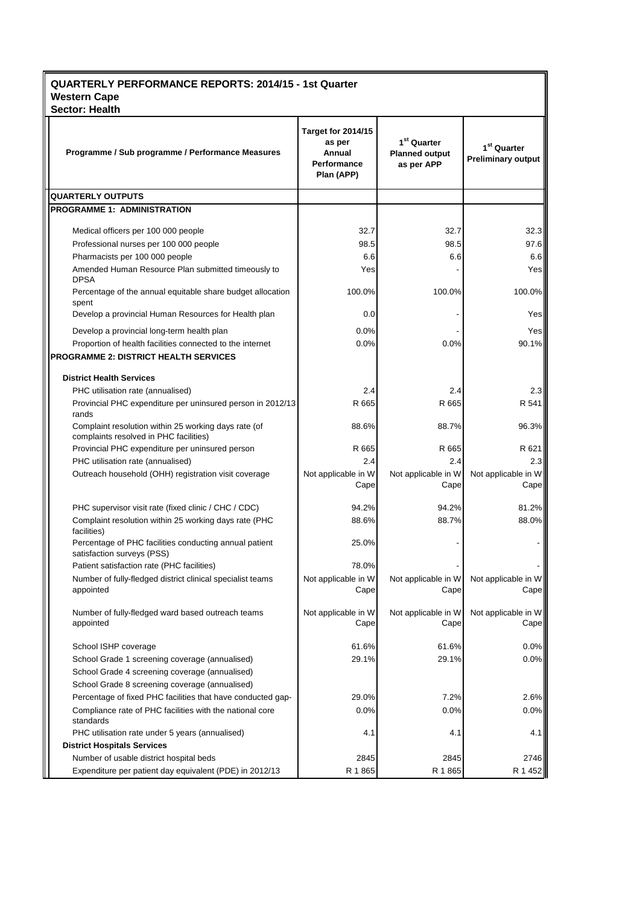| <b>QUARTERLY PERFORMANCE REPORTS: 2014/15 - 1st Quarter</b><br><b>Western Cape</b><br><b>Sector: Health</b> |                                                                            |                                                      |                                            |
|-------------------------------------------------------------------------------------------------------------|----------------------------------------------------------------------------|------------------------------------------------------|--------------------------------------------|
| Programme / Sub programme / Performance Measures                                                            | <b>Target for 2014/15</b><br>as per<br>Annual<br>Performance<br>Plan (APP) | $1st$ Quarter<br><b>Planned output</b><br>as per APP | $1st$ Quarter<br><b>Preliminary output</b> |
| <b>QUARTERLY OUTPUTS</b>                                                                                    |                                                                            |                                                      |                                            |
| <b>PROGRAMME 1: ADMINISTRATION</b>                                                                          |                                                                            |                                                      |                                            |
| Medical officers per 100 000 people                                                                         | 32.7                                                                       | 32.7                                                 | 32.3                                       |
| Professional nurses per 100 000 people                                                                      | 98.5                                                                       | 98.5                                                 | 97.6                                       |
| Pharmacists per 100 000 people                                                                              | 6.6                                                                        | 6.6                                                  | 6.6                                        |
| Amended Human Resource Plan submitted timeously to                                                          | Yes                                                                        |                                                      | Yes                                        |
| <b>DPSA</b>                                                                                                 |                                                                            |                                                      |                                            |
| Percentage of the annual equitable share budget allocation<br>spent                                         | 100.0%                                                                     | 100.0%                                               | 100.0%                                     |
| Develop a provincial Human Resources for Health plan                                                        | 0.0                                                                        |                                                      | Yes                                        |
| Develop a provincial long-term health plan                                                                  | 0.0%                                                                       |                                                      | Yes                                        |
| Proportion of health facilities connected to the internet                                                   | 0.0%                                                                       | 0.0%                                                 | 90.1%                                      |
| <b>PROGRAMME 2: DISTRICT HEALTH SERVICES</b>                                                                |                                                                            |                                                      |                                            |
| <b>District Health Services</b>                                                                             |                                                                            |                                                      |                                            |
| PHC utilisation rate (annualised)                                                                           | 2.4                                                                        | 2.4                                                  | 2.3                                        |
| Provincial PHC expenditure per uninsured person in 2012/13<br>rands                                         | R 665                                                                      | R 665                                                | R 541                                      |
| Complaint resolution within 25 working days rate (of<br>complaints resolved in PHC facilities)              | 88.6%                                                                      | 88.7%                                                | 96.3%                                      |
| Provincial PHC expenditure per uninsured person                                                             | R 665                                                                      | R 665                                                | R 621                                      |
| PHC utilisation rate (annualised)                                                                           | 2.4                                                                        | 2.4                                                  | 2.3                                        |
| Outreach household (OHH) registration visit coverage                                                        | Not applicable in W                                                        | Not applicable in W                                  | Not applicable in W                        |
|                                                                                                             | Cape                                                                       | Cape                                                 | Cape                                       |
| PHC supervisor visit rate (fixed clinic / CHC / CDC)                                                        | 94.2%                                                                      | 94.2%                                                | 81.2%                                      |
| Complaint resolution within 25 working days rate (PHC<br>facilities)                                        | 88.6%                                                                      | 88.7%                                                | 88.0%                                      |
| Percentage of PHC facilities conducting annual patient<br>satisfaction surveys (PSS)                        | 25.0%                                                                      |                                                      |                                            |
| Patient satisfaction rate (PHC facilities)                                                                  | 78.0%                                                                      |                                                      |                                            |
| Number of fully-fledged district clinical specialist teams<br>appointed                                     | Not applicable in W<br>Cape                                                | Not applicable in W<br>Cape                          | Not applicable in W<br>Cape                |
| Number of fully-fledged ward based outreach teams<br>appointed                                              | Not applicable in W<br>Cape                                                | Not applicable in W<br>Cape                          | Not applicable in W<br>Cape                |
| School ISHP coverage                                                                                        | 61.6%                                                                      | 61.6%                                                | $0.0\%$                                    |
| School Grade 1 screening coverage (annualised)                                                              | 29.1%                                                                      | 29.1%                                                | 0.0%                                       |
| School Grade 4 screening coverage (annualised)                                                              |                                                                            |                                                      |                                            |
| School Grade 8 screening coverage (annualised)                                                              |                                                                            |                                                      |                                            |
| Percentage of fixed PHC facilities that have conducted gap-                                                 | 29.0%                                                                      | 7.2%                                                 | 2.6%                                       |
| Compliance rate of PHC facilities with the national core<br>standards                                       | 0.0%                                                                       | 0.0%                                                 | $0.0\%$                                    |
| PHC utilisation rate under 5 years (annualised)                                                             | 4.1                                                                        | 4.1                                                  | 4.1                                        |
| <b>District Hospitals Services</b>                                                                          |                                                                            |                                                      |                                            |
| Number of usable district hospital beds                                                                     | 2845                                                                       | 2845                                                 | 2746                                       |
| Expenditure per patient day equivalent (PDE) in 2012/13                                                     | R 1865                                                                     | R 1865                                               | R 1 452                                    |

rands (district hospitals)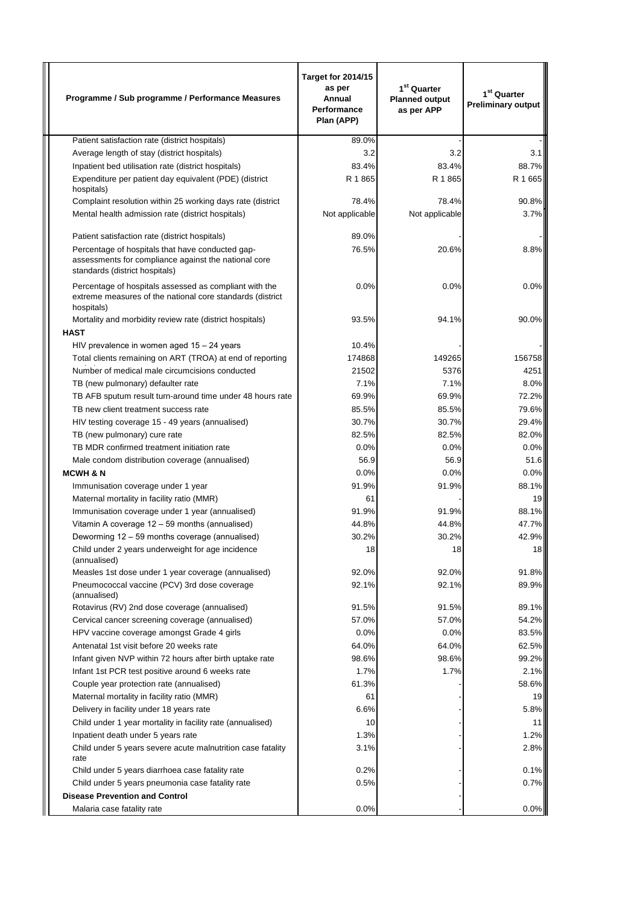| Programme / Sub programme / Performance Measures                                                                                           | <b>Target for 2014/15</b><br>as per<br>Annual<br>Performance<br>Plan (APP) | 1 <sup>st</sup> Quarter<br><b>Planned output</b><br>as per APP | 1 <sup>st</sup> Quarter<br><b>Preliminary output</b> |
|--------------------------------------------------------------------------------------------------------------------------------------------|----------------------------------------------------------------------------|----------------------------------------------------------------|------------------------------------------------------|
| Patient satisfaction rate (district hospitals)                                                                                             | 89.0%                                                                      |                                                                |                                                      |
| Average length of stay (district hospitals)                                                                                                | 3.2                                                                        | 3.2                                                            | 3.1                                                  |
| Inpatient bed utilisation rate (district hospitals)                                                                                        | 83.4%                                                                      | 83.4%                                                          | 88.7%                                                |
| Expenditure per patient day equivalent (PDE) (district<br>hospitals)                                                                       | R 1865                                                                     | R 1865                                                         | R 1 665                                              |
| Complaint resolution within 25 working days rate (district                                                                                 | 78.4%                                                                      | 78.4%                                                          | 90.8%                                                |
| Mental health admission rate (district hospitals)                                                                                          | Not applicable                                                             | Not applicable                                                 | 3.7%                                                 |
| Patient satisfaction rate (district hospitals)                                                                                             | 89.0%                                                                      |                                                                |                                                      |
| Percentage of hospitals that have conducted gap-<br>assessments for compliance against the national core<br>standards (district hospitals) | 76.5%                                                                      | 20.6%                                                          | 8.8%                                                 |
| Percentage of hospitals assessed as compliant with the<br>extreme measures of the national core standards (district)<br>hospitals)         | 0.0%                                                                       | 0.0%                                                           | 0.0%                                                 |
| Mortality and morbidity review rate (district hospitals)<br><b>HAST</b>                                                                    | 93.5%                                                                      | 94.1%                                                          | 90.0%                                                |
| HIV prevalence in women aged $15 - 24$ years                                                                                               | 10.4%                                                                      |                                                                |                                                      |
| Total clients remaining on ART (TROA) at end of reporting                                                                                  | 174868                                                                     | 149265                                                         | 156758                                               |
| Number of medical male circumcisions conducted                                                                                             | 21502                                                                      | 5376                                                           | 4251                                                 |
| TB (new pulmonary) defaulter rate                                                                                                          | 7.1%                                                                       | 7.1%                                                           | 8.0%                                                 |
| TB AFB sputum result turn-around time under 48 hours rate                                                                                  | 69.9%                                                                      | 69.9%                                                          | 72.2%                                                |
| TB new client treatment success rate                                                                                                       | 85.5%                                                                      | 85.5%                                                          | 79.6%                                                |
| HIV testing coverage 15 - 49 years (annualised)                                                                                            | 30.7%                                                                      | 30.7%                                                          | 29.4%                                                |
| TB (new pulmonary) cure rate                                                                                                               | 82.5%                                                                      | 82.5%                                                          | 82.0%                                                |
| TB MDR confirmed treatment initiation rate                                                                                                 | 0.0%                                                                       | 0.0%                                                           | 0.0%                                                 |
| Male condom distribution coverage (annualised)                                                                                             | 56.9                                                                       | 56.9                                                           | 51.6                                                 |
| <b>MCWH &amp; N</b>                                                                                                                        | 0.0%                                                                       | 0.0%                                                           | 0.0%                                                 |
| Immunisation coverage under 1 year                                                                                                         | 91.9%                                                                      | 91.9%                                                          | 88.1%                                                |
| Maternal mortality in facility ratio (MMR)                                                                                                 | 61                                                                         |                                                                | 19                                                   |
| Immunisation coverage under 1 year (annualised)                                                                                            | 91.9%                                                                      | 91.9%                                                          | 88.1%                                                |
| Vitamin A coverage 12 – 59 months (annualised)<br>Deworming 12 - 59 months coverage (annualised)                                           | 44.8%<br>30.2%                                                             | 44.8%<br>30.2%                                                 | 47.7%<br>42.9%                                       |
| Child under 2 years underweight for age incidence<br>(annualised)                                                                          | 18                                                                         | 18                                                             | 18                                                   |
| Measles 1st dose under 1 year coverage (annualised)                                                                                        | 92.0%                                                                      | 92.0%                                                          | 91.8%                                                |
| Pneumococcal vaccine (PCV) 3rd dose coverage<br>(annualised)                                                                               | 92.1%                                                                      | 92.1%                                                          | 89.9%                                                |
| Rotavirus (RV) 2nd dose coverage (annualised)                                                                                              | 91.5%                                                                      | 91.5%                                                          | 89.1%                                                |
| Cervical cancer screening coverage (annualised)                                                                                            | 57.0%                                                                      | 57.0%                                                          | 54.2%                                                |
| HPV vaccine coverage amongst Grade 4 girls                                                                                                 | 0.0%                                                                       | 0.0%                                                           | 83.5%                                                |
| Antenatal 1st visit before 20 weeks rate                                                                                                   | 64.0%                                                                      | 64.0%                                                          | 62.5%                                                |
| Infant given NVP within 72 hours after birth uptake rate                                                                                   | 98.6%                                                                      | 98.6%                                                          | 99.2%                                                |
| Infant 1st PCR test positive around 6 weeks rate                                                                                           | 1.7%                                                                       | 1.7%                                                           | 2.1%                                                 |
| Couple year protection rate (annualised)                                                                                                   | 61.3%                                                                      |                                                                | 58.6%                                                |
| Maternal mortality in facility ratio (MMR)                                                                                                 | 61                                                                         |                                                                | 19                                                   |
| Delivery in facility under 18 years rate<br>Child under 1 year mortality in facility rate (annualised)                                     | 6.6%<br>10                                                                 |                                                                | 5.8%<br>11                                           |
| Inpatient death under 5 years rate                                                                                                         | 1.3%                                                                       |                                                                | 1.2%                                                 |
| Child under 5 years severe acute malnutrition case fatality                                                                                | 3.1%                                                                       |                                                                | 2.8%                                                 |
| rate                                                                                                                                       |                                                                            |                                                                |                                                      |
| Child under 5 years diarrhoea case fatality rate                                                                                           | 0.2%                                                                       |                                                                | 0.1%                                                 |
| Child under 5 years pneumonia case fatality rate                                                                                           | 0.5%                                                                       |                                                                | 0.7%                                                 |
| <b>Disease Prevention and Control</b>                                                                                                      |                                                                            |                                                                |                                                      |
| Malaria case fatality rate                                                                                                                 | 0.0%                                                                       |                                                                | 0.0%                                                 |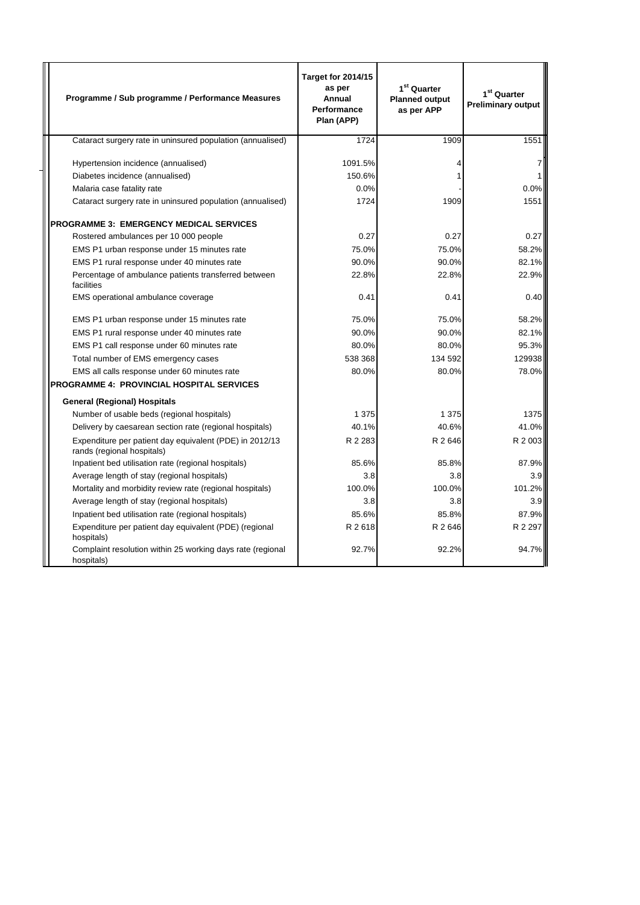| Programme / Sub programme / Performance Measures                                      | <b>Target for 2014/15</b><br>as per<br>Annual<br>Performance<br>Plan (APP) | $1st$ Quarter<br><b>Planned output</b><br>as per APP | 1 <sup>st</sup> Quarter<br><b>Preliminary output</b> |
|---------------------------------------------------------------------------------------|----------------------------------------------------------------------------|------------------------------------------------------|------------------------------------------------------|
| Cataract surgery rate in uninsured population (annualised)                            | 1724                                                                       | 1909                                                 | 1551                                                 |
| Hypertension incidence (annualised)                                                   | 1091.5%                                                                    |                                                      |                                                      |
| Diabetes incidence (annualised)                                                       | 150.6%                                                                     |                                                      |                                                      |
| Malaria case fatality rate                                                            | 0.0%                                                                       |                                                      | 0.0%                                                 |
| Cataract surgery rate in uninsured population (annualised)                            | 1724                                                                       | 1909                                                 | 1551                                                 |
| <b>PROGRAMME 3: EMERGENCY MEDICAL SERVICES</b>                                        |                                                                            |                                                      |                                                      |
| Rostered ambulances per 10 000 people                                                 | 0.27                                                                       | 0.27                                                 | 0.27                                                 |
| EMS P1 urban response under 15 minutes rate                                           | 75.0%                                                                      | 75.0%                                                | 58.2%                                                |
| EMS P1 rural response under 40 minutes rate                                           | 90.0%                                                                      | 90.0%                                                | 82.1%                                                |
| Percentage of ambulance patients transferred between<br>facilities                    | 22.8%                                                                      | 22.8%                                                | 22.9%                                                |
| EMS operational ambulance coverage                                                    | 0.41                                                                       | 0.41                                                 | 0.40                                                 |
| EMS P1 urban response under 15 minutes rate                                           | 75.0%                                                                      | 75.0%                                                | 58.2%                                                |
| EMS P1 rural response under 40 minutes rate                                           | 90.0%                                                                      | 90.0%                                                | 82.1%                                                |
| EMS P1 call response under 60 minutes rate                                            | 80.0%                                                                      | 80.0%                                                | 95.3%                                                |
| Total number of EMS emergency cases                                                   | 538 368                                                                    | 134 592                                              | 129938                                               |
| EMS all calls response under 60 minutes rate                                          | 80.0%                                                                      | 80.0%                                                | 78.0%                                                |
| <b>PROGRAMME 4: PROVINCIAL HOSPITAL SERVICES</b>                                      |                                                                            |                                                      |                                                      |
| <b>General (Regional) Hospitals</b>                                                   |                                                                            |                                                      |                                                      |
| Number of usable beds (regional hospitals)                                            | 1 3 7 5                                                                    | 1 3 7 5                                              | 1375                                                 |
| Delivery by caesarean section rate (regional hospitals)                               | 40.1%                                                                      | 40.6%                                                | 41.0%                                                |
| Expenditure per patient day equivalent (PDE) in 2012/13<br>rands (regional hospitals) | R 2 2 8 3                                                                  | R 2646                                               | R 2 003                                              |
| Inpatient bed utilisation rate (regional hospitals)                                   | 85.6%                                                                      | 85.8%                                                | 87.9%                                                |
| Average length of stay (regional hospitals)                                           | 3.8                                                                        | 3.8                                                  | 3.9                                                  |
| Mortality and morbidity review rate (regional hospitals)                              | 100.0%                                                                     | 100.0%                                               | 101.2%                                               |
| Average length of stay (regional hospitals)                                           | 3.8                                                                        | 3.8                                                  | 3.9                                                  |
| Inpatient bed utilisation rate (regional hospitals)                                   | 85.6%                                                                      | 85.8%                                                | 87.9%                                                |
| Expenditure per patient day equivalent (PDE) (regional<br>hospitals)                  | R 2 618                                                                    | R 2 646                                              | R 2 297                                              |
| Complaint resolution within 25 working days rate (regional<br>hospitals)              | 92.7%                                                                      | 92.2%                                                | 94.7%                                                |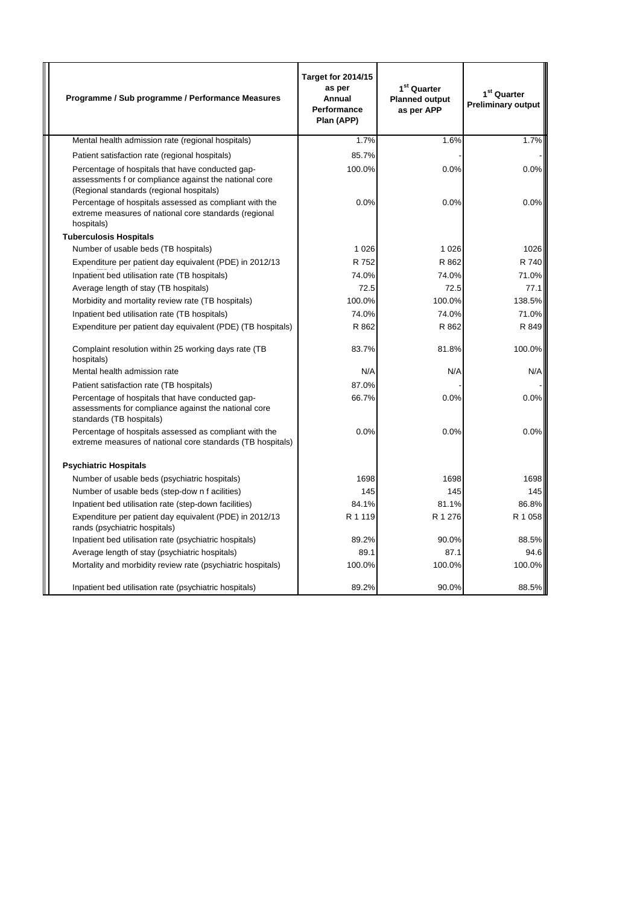| Programme / Sub programme / Performance Measures                                                                                                      | <b>Target for 2014/15</b><br>as per<br>Annual<br>Performance<br>Plan (APP) | 1 <sup>st</sup> Quarter<br><b>Planned output</b><br>as per APP | 1 <sup>st</sup> Quarter<br><b>Preliminary output</b> |
|-------------------------------------------------------------------------------------------------------------------------------------------------------|----------------------------------------------------------------------------|----------------------------------------------------------------|------------------------------------------------------|
| Mental health admission rate (regional hospitals)                                                                                                     | 1.7%                                                                       | 1.6%                                                           | 1.7%                                                 |
| Patient satisfaction rate (regional hospitals)                                                                                                        | 85.7%                                                                      |                                                                |                                                      |
| Percentage of hospitals that have conducted gap-<br>assessments f or compliance against the national core<br>(Regional standards (regional hospitals) | 100.0%                                                                     | 0.0%                                                           | 0.0%                                                 |
| Percentage of hospitals assessed as compliant with the<br>extreme measures of national core standards (regional<br>hospitals)                         | 0.0%                                                                       | 0.0%                                                           | 0.0%                                                 |
| <b>Tuberculosis Hospitals</b>                                                                                                                         |                                                                            |                                                                |                                                      |
| Number of usable beds (TB hospitals)                                                                                                                  | 1 0 2 6                                                                    | 1 0 2 6                                                        | 1026                                                 |
| Expenditure per patient day equivalent (PDE) in 2012/13                                                                                               | R 752                                                                      | R 862                                                          | R 740                                                |
| Inpatient bed utilisation rate (TB hospitals)                                                                                                         | 74.0%                                                                      | 74.0%                                                          | 71.0%                                                |
| Average length of stay (TB hospitals)                                                                                                                 | 72.5                                                                       | 72.5                                                           | 77.1                                                 |
| Morbidity and mortality review rate (TB hospitals)                                                                                                    | 100.0%                                                                     | 100.0%                                                         | 138.5%                                               |
| Inpatient bed utilisation rate (TB hospitals)                                                                                                         | 74.0%                                                                      | 74.0%                                                          | 71.0%                                                |
| Expenditure per patient day equivalent (PDE) (TB hospitals)                                                                                           | R 862                                                                      | R 862                                                          | R 849                                                |
| Complaint resolution within 25 working days rate (TB<br>hospitals)                                                                                    | 83.7%                                                                      | 81.8%                                                          | 100.0%                                               |
| Mental health admission rate                                                                                                                          | N/A                                                                        | N/A                                                            | N/A                                                  |
| Patient satisfaction rate (TB hospitals)                                                                                                              | 87.0%                                                                      |                                                                |                                                      |
| Percentage of hospitals that have conducted gap-<br>assessments for compliance against the national core<br>standards (TB hospitals)                  | 66.7%                                                                      | 0.0%                                                           | 0.0%                                                 |
| Percentage of hospitals assessed as compliant with the<br>extreme measures of national core standards (TB hospitals)                                  | 0.0%                                                                       | 0.0%                                                           | 0.0%                                                 |
| <b>Psychiatric Hospitals</b>                                                                                                                          |                                                                            |                                                                |                                                      |
| Number of usable beds (psychiatric hospitals)                                                                                                         | 1698                                                                       | 1698                                                           | 1698                                                 |
| Number of usable beds (step-dow n f acilities)                                                                                                        | 145                                                                        | 145                                                            | 145                                                  |
| Inpatient bed utilisation rate (step-down facilities)                                                                                                 | 84.1%                                                                      | 81.1%                                                          | 86.8%                                                |
| Expenditure per patient day equivalent (PDE) in 2012/13<br>rands (psychiatric hospitals)                                                              | R 1 1 1 9                                                                  | R 1 276                                                        | R 1 058                                              |
| Inpatient bed utilisation rate (psychiatric hospitals)                                                                                                | 89.2%                                                                      | 90.0%                                                          | 88.5%                                                |
| Average length of stay (psychiatric hospitals)                                                                                                        | 89.1                                                                       | 87.1                                                           | 94.6                                                 |
| Mortality and morbidity review rate (psychiatric hospitals)                                                                                           | 100.0%                                                                     | 100.0%                                                         | 100.0%                                               |
| Inpatient bed utilisation rate (psychiatric hospitals)                                                                                                | 89.2%                                                                      | 90.0%                                                          | 88.5%                                                |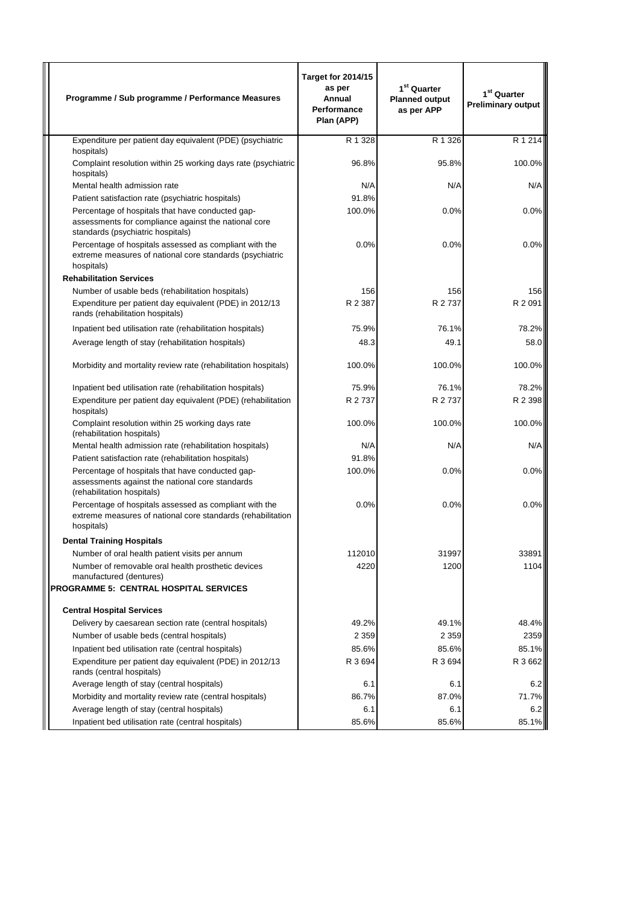| Programme / Sub programme / Performance Measures                                                                                              | <b>Target for 2014/15</b><br>as per<br>Annual<br>Performance<br>Plan (APP) | 1 <sup>st</sup> Quarter<br><b>Planned output</b><br>as per APP | 1 <sup>st</sup> Quarter<br><b>Preliminary output</b> |
|-----------------------------------------------------------------------------------------------------------------------------------------------|----------------------------------------------------------------------------|----------------------------------------------------------------|------------------------------------------------------|
| Expenditure per patient day equivalent (PDE) (psychiatric                                                                                     | R 1 328                                                                    | R 1 326                                                        | R 1 214                                              |
| hospitals)                                                                                                                                    |                                                                            | 95.8%                                                          | 100.0%                                               |
| Complaint resolution within 25 working days rate (psychiatric<br>hospitals)                                                                   | 96.8%                                                                      |                                                                |                                                      |
| Mental health admission rate                                                                                                                  | N/A                                                                        | N/A                                                            | N/A                                                  |
| Patient satisfaction rate (psychiatric hospitals)                                                                                             | 91.8%                                                                      |                                                                |                                                      |
| Percentage of hospitals that have conducted gap-<br>assessments for compliance against the national core<br>standards (psychiatric hospitals) | 100.0%                                                                     | 0.0%                                                           | 0.0%                                                 |
| Percentage of hospitals assessed as compliant with the<br>extreme measures of national core standards (psychiatric<br>hospitals)              | 0.0%                                                                       | 0.0%                                                           | 0.0%                                                 |
| <b>Rehabilitation Services</b>                                                                                                                |                                                                            |                                                                |                                                      |
| Number of usable beds (rehabilitation hospitals)                                                                                              | 156                                                                        | 156                                                            | 156                                                  |
| Expenditure per patient day equivalent (PDE) in 2012/13<br>rands (rehabilitation hospitals)                                                   | R 2 387                                                                    | R 2 737                                                        | R 2 0 9 1                                            |
| Inpatient bed utilisation rate (rehabilitation hospitals)                                                                                     | 75.9%                                                                      | 76.1%                                                          | 78.2%                                                |
| Average length of stay (rehabilitation hospitals)                                                                                             | 48.3                                                                       | 49.1                                                           | 58.0                                                 |
| Morbidity and mortality review rate (rehabilitation hospitals)                                                                                | 100.0%                                                                     | 100.0%                                                         | 100.0%                                               |
| Inpatient bed utilisation rate (rehabilitation hospitals)                                                                                     | 75.9%                                                                      | 76.1%                                                          | 78.2%                                                |
| Expenditure per patient day equivalent (PDE) (rehabilitation<br>hospitals)                                                                    | R 2 737                                                                    | R 2 737                                                        | R 2 3 9 8                                            |
| Complaint resolution within 25 working days rate<br>(rehabilitation hospitals)                                                                | 100.0%                                                                     | 100.0%                                                         | 100.0%                                               |
| Mental health admission rate (rehabilitation hospitals)                                                                                       | N/A                                                                        | N/A                                                            | N/A                                                  |
| Patient satisfaction rate (rehabilitation hospitals)                                                                                          | 91.8%                                                                      |                                                                |                                                      |
| Percentage of hospitals that have conducted gap-<br>assessments against the national core standards<br>(rehabilitation hospitals)             | 100.0%                                                                     | 0.0%                                                           | 0.0%                                                 |
| Percentage of hospitals assessed as compliant with the<br>extreme measures of national core standards (rehabilitation<br>hospitals)           | 0.0%                                                                       | 0.0%                                                           | 0.0%                                                 |
| <b>Dental Training Hospitals</b>                                                                                                              |                                                                            |                                                                |                                                      |
| Number of oral health patient visits per annum                                                                                                | 112010                                                                     | 31997                                                          | 33891                                                |
| Number of removable oral health prosthetic devices<br>manufactured (dentures)                                                                 | 4220                                                                       | 1200                                                           | 1104                                                 |
| PROGRAMME 5: CENTRAL HOSPITAL SERVICES                                                                                                        |                                                                            |                                                                |                                                      |
| <b>Central Hospital Services</b>                                                                                                              |                                                                            |                                                                |                                                      |
| Delivery by caesarean section rate (central hospitals)                                                                                        | 49.2%                                                                      | 49.1%                                                          | 48.4%                                                |
| Number of usable beds (central hospitals)                                                                                                     | 2 3 5 9                                                                    | 2 3 5 9                                                        | 2359                                                 |
| Inpatient bed utilisation rate (central hospitals)                                                                                            | 85.6%                                                                      | 85.6%                                                          | 85.1%                                                |
| Expenditure per patient day equivalent (PDE) in 2012/13<br>rands (central hospitals)                                                          | R 3 694                                                                    | R 3 694                                                        | R 3 662                                              |
| Average length of stay (central hospitals)                                                                                                    | 6.1                                                                        | 6.1                                                            | 6.2                                                  |
| Morbidity and mortality review rate (central hospitals)                                                                                       | 86.7%                                                                      | 87.0%                                                          | 71.7%                                                |
| Average length of stay (central hospitals)                                                                                                    | 6.1                                                                        | 6.1                                                            | 6.2                                                  |
| Inpatient bed utilisation rate (central hospitals)                                                                                            | 85.6%                                                                      | 85.6%                                                          | 85.1%                                                |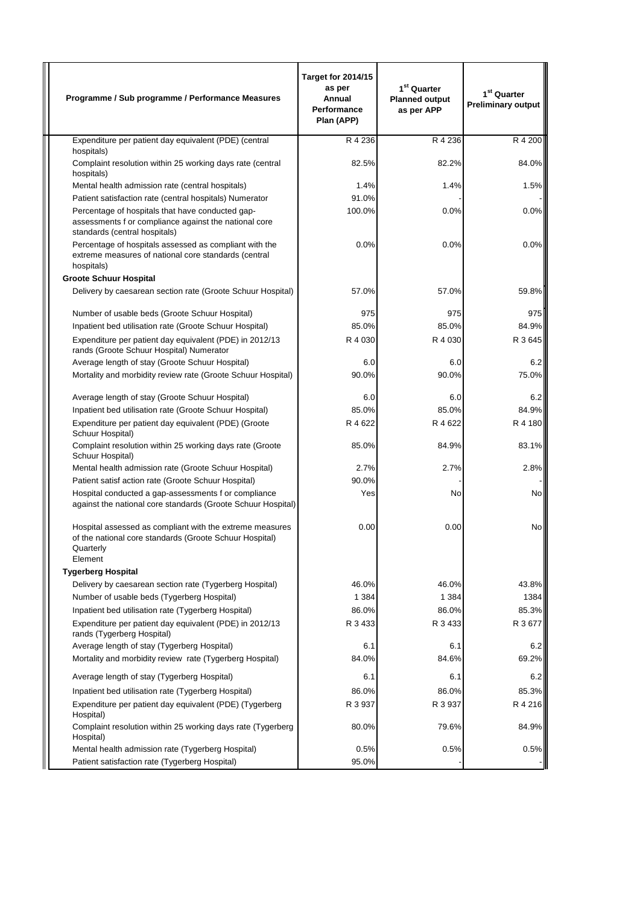| Programme / Sub programme / Performance Measures                                                                                            | <b>Target for 2014/15</b><br>as per<br>Annual<br><b>Performance</b><br>Plan (APP) | 1 <sup>st</sup> Quarter<br><b>Planned output</b><br>as per APP | 1 <sup>st</sup> Quarter<br><b>Preliminary output</b> |
|---------------------------------------------------------------------------------------------------------------------------------------------|-----------------------------------------------------------------------------------|----------------------------------------------------------------|------------------------------------------------------|
| Expenditure per patient day equivalent (PDE) (central                                                                                       | R 4 236                                                                           | R 4 236                                                        | R 4 200                                              |
| hospitals)<br>Complaint resolution within 25 working days rate (central<br>hospitals)                                                       | 82.5%                                                                             | 82.2%                                                          | 84.0%                                                |
| Mental health admission rate (central hospitals)                                                                                            | 1.4%                                                                              | 1.4%                                                           | 1.5%                                                 |
| Patient satisfaction rate (central hospitals) Numerator                                                                                     | 91.0%                                                                             |                                                                |                                                      |
| Percentage of hospitals that have conducted gap-<br>assessments f or compliance against the national core<br>standards (central hospitals)  | 100.0%                                                                            | 0.0%                                                           | 0.0%                                                 |
| Percentage of hospitals assessed as compliant with the<br>extreme measures of national core standards (central<br>hospitals)                | 0.0%                                                                              | 0.0%                                                           | 0.0%                                                 |
| <b>Groote Schuur Hospital</b>                                                                                                               |                                                                                   |                                                                |                                                      |
| Delivery by caesarean section rate (Groote Schuur Hospital)                                                                                 | 57.0%                                                                             | 57.0%                                                          | 59.8%                                                |
| Number of usable beds (Groote Schuur Hospital)                                                                                              | 975                                                                               | 975                                                            | 975                                                  |
| Inpatient bed utilisation rate (Groote Schuur Hospital)                                                                                     | 85.0%                                                                             | 85.0%                                                          | 84.9%                                                |
| Expenditure per patient day equivalent (PDE) in 2012/13<br>rands (Groote Schuur Hospital) Numerator                                         | R 4 030                                                                           | R 4 030                                                        | R 3 645                                              |
| Average length of stay (Groote Schuur Hospital)                                                                                             | 6.0                                                                               | 6.0                                                            | 6.2                                                  |
| Mortality and morbidity review rate (Groote Schuur Hospital)                                                                                | 90.0%                                                                             | 90.0%                                                          | 75.0%                                                |
| Average length of stay (Groote Schuur Hospital)                                                                                             | 6.0                                                                               | 6.0                                                            | 6.2                                                  |
| Inpatient bed utilisation rate (Groote Schuur Hospital)                                                                                     | 85.0%                                                                             | 85.0%                                                          | 84.9%                                                |
| Expenditure per patient day equivalent (PDE) (Groote<br>Schuur Hospital)                                                                    | R 4 622                                                                           | R 4 622                                                        | R 4 180                                              |
| Complaint resolution within 25 working days rate (Groote<br>Schuur Hospital)                                                                | 85.0%                                                                             | 84.9%                                                          | 83.1%                                                |
| Mental health admission rate (Groote Schuur Hospital)                                                                                       | 2.7%                                                                              | 2.7%                                                           | 2.8%                                                 |
| Patient satisf action rate (Groote Schuur Hospital)                                                                                         | 90.0%                                                                             |                                                                |                                                      |
| Hospital conducted a gap-assessments f or compliance<br>against the national core standards (Groote Schuur Hospital)                        | Yes                                                                               | No                                                             | No                                                   |
| Hospital assessed as compliant with the extreme measures<br>of the national core standards (Groote Schuur Hospital)<br>Quarterly<br>Element | 0.00                                                                              | 0.00                                                           | No                                                   |
| <b>Tygerberg Hospital</b>                                                                                                                   |                                                                                   |                                                                |                                                      |
| Delivery by caesarean section rate (Tygerberg Hospital)<br>Number of usable beds (Tygerberg Hospital)                                       | 46.0%<br>1 3 8 4                                                                  | 46.0%<br>1 3 8 4                                               | 43.8%<br>1384                                        |
| Inpatient bed utilisation rate (Tygerberg Hospital)                                                                                         | 86.0%                                                                             | 86.0%                                                          | 85.3%                                                |
| Expenditure per patient day equivalent (PDE) in 2012/13<br>rands (Tygerberg Hospital)                                                       | R 3 433                                                                           | R 3 433                                                        | R 3 677                                              |
| Average length of stay (Tygerberg Hospital)                                                                                                 | 6.1                                                                               | 6.1                                                            | 6.2                                                  |
| Mortality and morbidity review rate (Tygerberg Hospital)                                                                                    | 84.0%                                                                             | 84.6%                                                          | 69.2%                                                |
| Average length of stay (Tygerberg Hospital)                                                                                                 | 6.1                                                                               | 6.1                                                            | 6.2                                                  |
| Inpatient bed utilisation rate (Tygerberg Hospital)                                                                                         | 86.0%                                                                             | 86.0%                                                          | 85.3%                                                |
| Expenditure per patient day equivalent (PDE) (Tygerberg<br>Hospital)                                                                        | R 3 937                                                                           | R 3 937                                                        | R 4 216                                              |
| Complaint resolution within 25 working days rate (Tygerberg<br>Hospital)                                                                    | 80.0%                                                                             | 79.6%                                                          | 84.9%                                                |
| Mental health admission rate (Tygerberg Hospital)<br>Patient satisfaction rate (Tygerberg Hospital)                                         | 0.5%<br>95.0%                                                                     | 0.5%                                                           | 0.5%                                                 |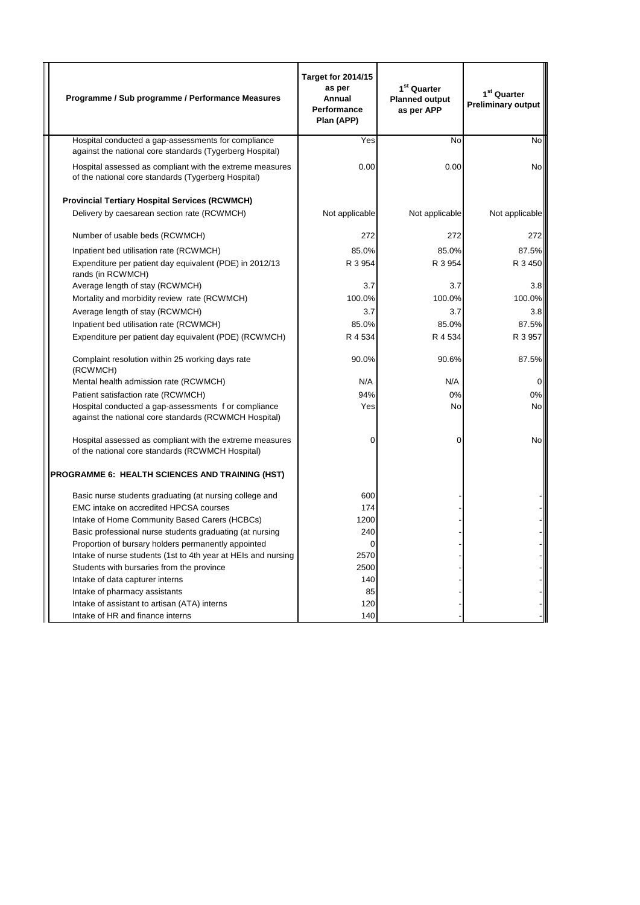| Programme / Sub programme / Performance Measures                                                                | <b>Target for 2014/15</b><br>as per<br>Annual<br>Performance<br>Plan (APP) | 1 <sup>st</sup> Quarter<br><b>Planned output</b><br>as per APP | 1 <sup>st</sup> Quarter<br><b>Preliminary output</b> |
|-----------------------------------------------------------------------------------------------------------------|----------------------------------------------------------------------------|----------------------------------------------------------------|------------------------------------------------------|
| Hospital conducted a gap-assessments for compliance<br>against the national core standards (Tygerberg Hospital) | Yes                                                                        | No                                                             | <b>No</b>                                            |
| Hospital assessed as compliant with the extreme measures<br>of the national core standards (Tygerberg Hospital) | 0.00                                                                       | 0.00                                                           | <b>No</b>                                            |
| <b>Provincial Tertiary Hospital Services (RCWMCH)</b>                                                           |                                                                            |                                                                |                                                      |
| Delivery by caesarean section rate (RCWMCH)                                                                     | Not applicable                                                             | Not applicable                                                 | Not applicable                                       |
| Number of usable beds (RCWMCH)                                                                                  | 272                                                                        | 272                                                            | 272                                                  |
| Inpatient bed utilisation rate (RCWMCH)                                                                         | 85.0%                                                                      | 85.0%                                                          | 87.5%                                                |
| Expenditure per patient day equivalent (PDE) in 2012/13<br>rands (in RCWMCH)                                    | R 3 954                                                                    | R 3 954                                                        | R 3 450                                              |
| Average length of stay (RCWMCH)                                                                                 | 3.7                                                                        | 3.7                                                            | 3.8                                                  |
| Mortality and morbidity review rate (RCWMCH)                                                                    | 100.0%                                                                     | 100.0%                                                         | 100.0%                                               |
| Average length of stay (RCWMCH)                                                                                 | 3.7                                                                        | 3.7                                                            | 3.8                                                  |
| Inpatient bed utilisation rate (RCWMCH)                                                                         | 85.0%                                                                      | 85.0%                                                          | 87.5%                                                |
| Expenditure per patient day equivalent (PDE) (RCWMCH)                                                           | R 4 534                                                                    | R 4 534                                                        | R 3 957                                              |
| Complaint resolution within 25 working days rate<br>(RCWMCH)                                                    | 90.0%                                                                      | 90.6%                                                          | 87.5%                                                |
| Mental health admission rate (RCWMCH)                                                                           | N/A                                                                        | N/A                                                            | $\overline{0}$                                       |
| Patient satisfaction rate (RCWMCH)                                                                              | 94%                                                                        | 0%                                                             | 0%                                                   |
| Hospital conducted a gap-assessments f or compliance<br>against the national core standards (RCWMCH Hospital)   | Yes                                                                        | No                                                             | <b>No</b>                                            |
| Hospital assessed as compliant with the extreme measures<br>of the national core standards (RCWMCH Hospital)    | 0                                                                          | 0                                                              | No                                                   |
| PROGRAMME 6: HEALTH SCIENCES AND TRAINING (HST)                                                                 |                                                                            |                                                                |                                                      |
| Basic nurse students graduating (at nursing college and                                                         | 600                                                                        |                                                                |                                                      |
| EMC intake on accredited HPCSA courses                                                                          | 174                                                                        |                                                                |                                                      |
| Intake of Home Community Based Carers (HCBCs)                                                                   | 1200                                                                       |                                                                |                                                      |
| Basic professional nurse students graduating (at nursing                                                        | 240                                                                        |                                                                |                                                      |
| Proportion of bursary holders permanently appointed                                                             | 0                                                                          |                                                                |                                                      |
| Intake of nurse students (1st to 4th year at HEIs and nursing                                                   | 2570                                                                       |                                                                |                                                      |
| Students with bursaries from the province<br>Intake of data capturer interns                                    | 2500<br>140                                                                |                                                                |                                                      |
| Intake of pharmacy assistants                                                                                   | 85                                                                         |                                                                |                                                      |
| Intake of assistant to artisan (ATA) interns                                                                    | 120                                                                        |                                                                |                                                      |
| Intake of HR and finance interns                                                                                | 140                                                                        |                                                                |                                                      |